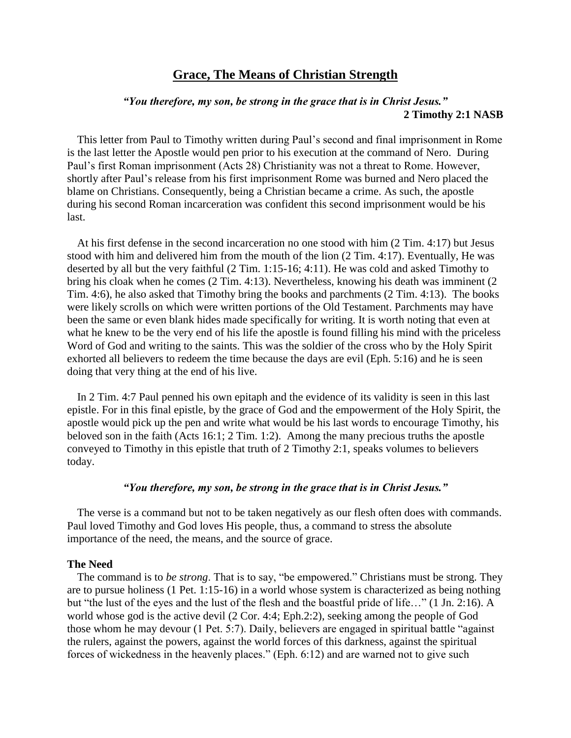# **Grace, The Means of Christian Strength**

## *"You therefore, my son, be strong in the grace that is in Christ Jesus."*  **2 Timothy 2:1 NASB**

This letter from Paul to Timothy written during Paul's second and final imprisonment in Rome is the last letter the Apostle would pen prior to his execution at the command of Nero. During Paul's first Roman imprisonment (Acts 28) Christianity was not a threat to Rome. However, shortly after Paul's release from his first imprisonment Rome was burned and Nero placed the blame on Christians. Consequently, being a Christian became a crime. As such, the apostle during his second Roman incarceration was confident this second imprisonment would be his last.

At his first defense in the second incarceration no one stood with him (2 Tim. 4:17) but Jesus stood with him and delivered him from the mouth of the lion (2 Tim. 4:17). Eventually, He was deserted by all but the very faithful (2 Tim. 1:15-16; 4:11). He was cold and asked Timothy to bring his cloak when he comes (2 Tim. 4:13). Nevertheless, knowing his death was imminent (2 Tim. 4:6), he also asked that Timothy bring the books and parchments (2 Tim. 4:13). The books were likely scrolls on which were written portions of the Old Testament. Parchments may have been the same or even blank hides made specifically for writing. It is worth noting that even at what he knew to be the very end of his life the apostle is found filling his mind with the priceless Word of God and writing to the saints. This was the soldier of the cross who by the Holy Spirit exhorted all believers to redeem the time because the days are evil (Eph. 5:16) and he is seen doing that very thing at the end of his live.

In 2 Tim. 4:7 Paul penned his own epitaph and the evidence of its validity is seen in this last epistle. For in this final epistle, by the grace of God and the empowerment of the Holy Spirit, the apostle would pick up the pen and write what would be his last words to encourage Timothy, his beloved son in the faith (Acts 16:1; 2 Tim. 1:2). Among the many precious truths the apostle conveyed to Timothy in this epistle that truth of 2 Timothy 2:1, speaks volumes to believers today.

## *"You therefore, my son, be strong in the grace that is in Christ Jesus."*

The verse is a command but not to be taken negatively as our flesh often does with commands. Paul loved Timothy and God loves His people, thus, a command to stress the absolute importance of the need, the means, and the source of grace.

#### **The Need**

The command is to *be strong*. That is to say, "be empowered." Christians must be strong. They are to pursue holiness (1 Pet. 1:15-16) in a world whose system is characterized as being nothing but "the lust of the eyes and the lust of the flesh and the boastful pride of life…" (1 Jn. 2:16). A world whose god is the active devil (2 Cor. 4:4; Eph.2:2), seeking among the people of God those whom he may devour (1 Pet. 5:7). Daily, believers are engaged in spiritual battle "against the rulers, against the powers, against the world forces of this darkness, against the spiritual forces of wickedness in the heavenly places." (Eph. 6:12) and are warned not to give such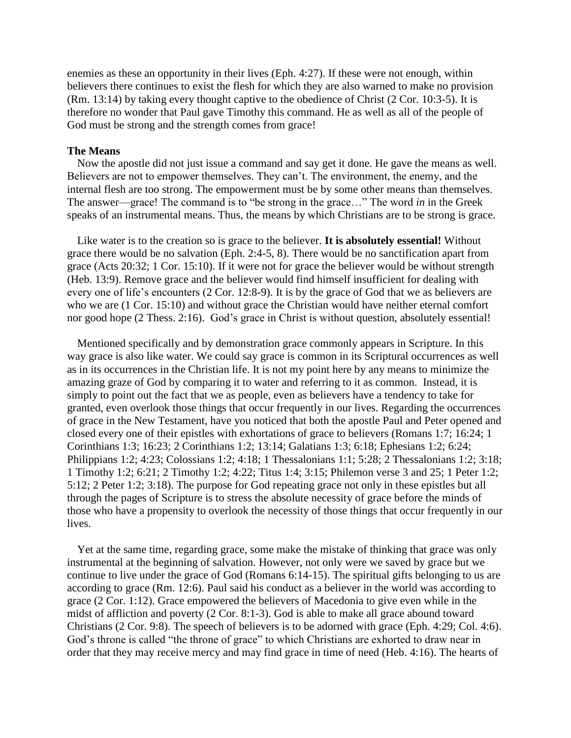enemies as these an opportunity in their lives (Eph. 4:27). If these were not enough, within believers there continues to exist the flesh for which they are also warned to make no provision (Rm. 13:14) by taking every thought captive to the obedience of Christ (2 Cor. 10:3-5). It is therefore no wonder that Paul gave Timothy this command. He as well as all of the people of God must be strong and the strength comes from grace!

## **The Means**

Now the apostle did not just issue a command and say get it done. He gave the means as well. Believers are not to empower themselves. They can't. The environment, the enemy, and the internal flesh are too strong. The empowerment must be by some other means than themselves. The answer—grace! The command is to "be strong in the grace…" The word *in* in the Greek speaks of an instrumental means. Thus, the means by which Christians are to be strong is grace.

Like water is to the creation so is grace to the believer. **It is absolutely essential!** Without grace there would be no salvation (Eph. 2:4-5, 8). There would be no sanctification apart from grace (Acts 20:32; 1 Cor. 15:10). If it were not for grace the believer would be without strength (Heb. 13:9). Remove grace and the believer would find himself insufficient for dealing with every one of life's encounters (2 Cor. 12:8-9). It is by the grace of God that we as believers are who we are (1 Cor. 15:10) and without grace the Christian would have neither eternal comfort nor good hope (2 Thess. 2:16). God's grace in Christ is without question, absolutely essential!

Mentioned specifically and by demonstration grace commonly appears in Scripture. In this way grace is also like water. We could say grace is common in its Scriptural occurrences as well as in its occurrences in the Christian life. It is not my point here by any means to minimize the amazing graze of God by comparing it to water and referring to it as common. Instead, it is simply to point out the fact that we as people, even as believers have a tendency to take for granted, even overlook those things that occur frequently in our lives. Regarding the occurrences of grace in the New Testament, have you noticed that both the apostle Paul and Peter opened and closed every one of their epistles with exhortations of grace to believers (Romans 1:7; 16:24; 1 Corinthians 1:3; 16:23; 2 Corinthians 1:2; 13:14; Galatians 1:3; 6:18; Ephesians 1:2; 6:24; Philippians 1:2; 4:23; Colossians 1:2; 4:18; 1 Thessalonians 1:1; 5:28; 2 Thessalonians 1:2; 3:18; 1 Timothy 1:2; 6:21; 2 Timothy 1:2; 4:22; Titus 1:4; 3:15; Philemon verse 3 and 25; 1 Peter 1:2; 5:12; 2 Peter 1:2; 3:18). The purpose for God repeating grace not only in these epistles but all through the pages of Scripture is to stress the absolute necessity of grace before the minds of those who have a propensity to overlook the necessity of those things that occur frequently in our lives.

Yet at the same time, regarding grace, some make the mistake of thinking that grace was only instrumental at the beginning of salvation. However, not only were we saved by grace but we continue to live under the grace of God (Romans 6:14-15). The spiritual gifts belonging to us are according to grace (Rm. 12:6). Paul said his conduct as a believer in the world was according to grace (2 Cor. 1:12). Grace empowered the believers of Macedonia to give even while in the midst of affliction and poverty (2 Cor. 8:1-3). God is able to make all grace abound toward Christians (2 Cor. 9:8). The speech of believers is to be adorned with grace (Eph. 4:29; Col. 4:6). God's throne is called "the throne of grace" to which Christians are exhorted to draw near in order that they may receive mercy and may find grace in time of need (Heb. 4:16). The hearts of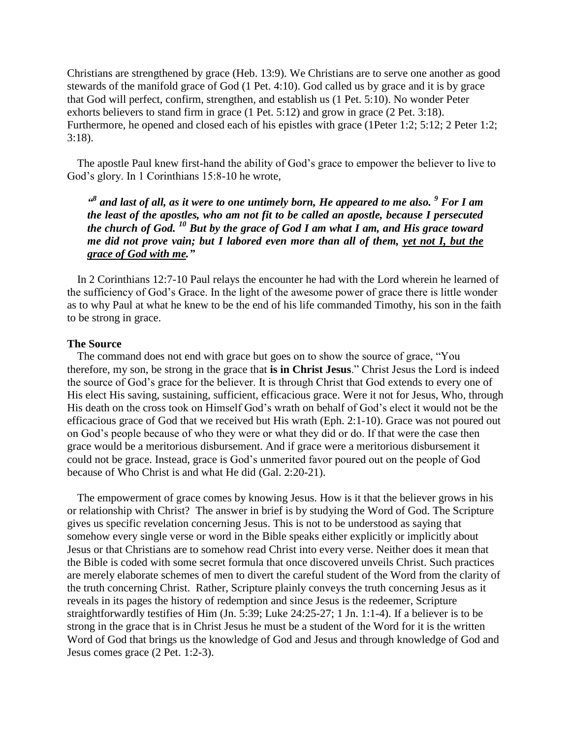Christians are strengthened by grace (Heb. 13:9). We Christians are to serve one another as good stewards of the manifold grace of God (1 Pet. 4:10). God called us by grace and it is by grace that God will perfect, confirm, strengthen, and establish us (1 Pet. 5:10). No wonder Peter exhorts believers to stand firm in grace (1 Pet. 5:12) and grow in grace (2 Pet. 3:18). Furthermore, he opened and closed each of his epistles with grace (1Peter 1:2; 5:12; 2 Peter 1:2; 3:18).

The apostle Paul knew first-hand the ability of God's grace to empower the believer to live to God's glory. In 1 Corinthians 15:8-10 he wrote,

*" 8 and last of all, as it were to one untimely born, He appeared to me also. <sup>9</sup> For I am the least of the apostles, who am not fit to be called an apostle, because I persecuted the church of God. <sup>10</sup> But by the grace of God I am what I am, and His grace toward me did not prove vain; but I labored even more than all of them, yet not I, but the grace of God with me."*

In 2 Corinthians 12:7-10 Paul relays the encounter he had with the Lord wherein he learned of the sufficiency of God's Grace. In the light of the awesome power of grace there is little wonder as to why Paul at what he knew to be the end of his life commanded Timothy, his son in the faith to be strong in grace.

## **The Source**

The command does not end with grace but goes on to show the source of grace, "You therefore, my son, be strong in the grace that **is in Christ Jesus**." Christ Jesus the Lord is indeed the source of God's grace for the believer. It is through Christ that God extends to every one of His elect His saving, sustaining, sufficient, efficacious grace. Were it not for Jesus, Who, through His death on the cross took on Himself God's wrath on behalf of God's elect it would not be the efficacious grace of God that we received but His wrath (Eph. 2:1-10). Grace was not poured out on God's people because of who they were or what they did or do. If that were the case then grace would be a meritorious disbursement. And if grace were a meritorious disbursement it could not be grace. Instead, grace is God's unmerited favor poured out on the people of God because of Who Christ is and what He did (Gal. 2:20-21).

The empowerment of grace comes by knowing Jesus. How is it that the believer grows in his or relationship with Christ? The answer in brief is by studying the Word of God. The Scripture gives us specific revelation concerning Jesus. This is not to be understood as saying that somehow every single verse or word in the Bible speaks either explicitly or implicitly about Jesus or that Christians are to somehow read Christ into every verse. Neither does it mean that the Bible is coded with some secret formula that once discovered unveils Christ. Such practices are merely elaborate schemes of men to divert the careful student of the Word from the clarity of the truth concerning Christ. Rather, Scripture plainly conveys the truth concerning Jesus as it reveals in its pages the history of redemption and since Jesus is the redeemer, Scripture straightforwardly testifies of Him (Jn. 5:39; Luke 24:25-27; 1 Jn. 1:1-4). If a believer is to be strong in the grace that is in Christ Jesus he must be a student of the Word for it is the written Word of God that brings us the knowledge of God and Jesus and through knowledge of God and Jesus comes grace (2 Pet. 1:2-3).